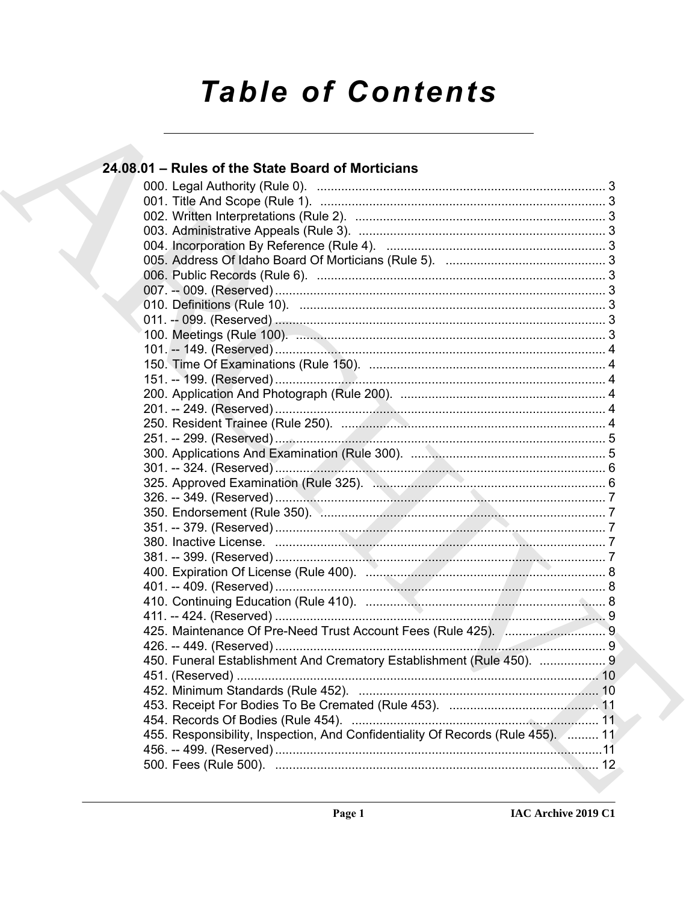# **Table of Contents**

### 24.08.01 – Rules of the State Board of Morticians 450. Funeral Establishment And Crematory Establishment (Rule 450). ................... 9 455. Responsibility, Inspection, And Confidentiality Of Records (Rule 455). ......... 11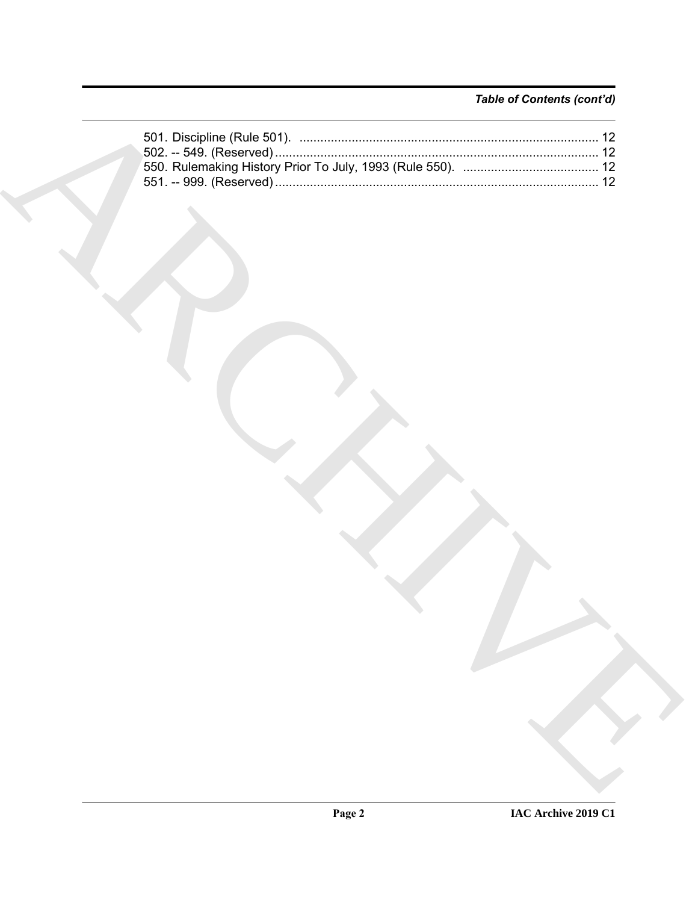### *Table of Contents (cont'd)*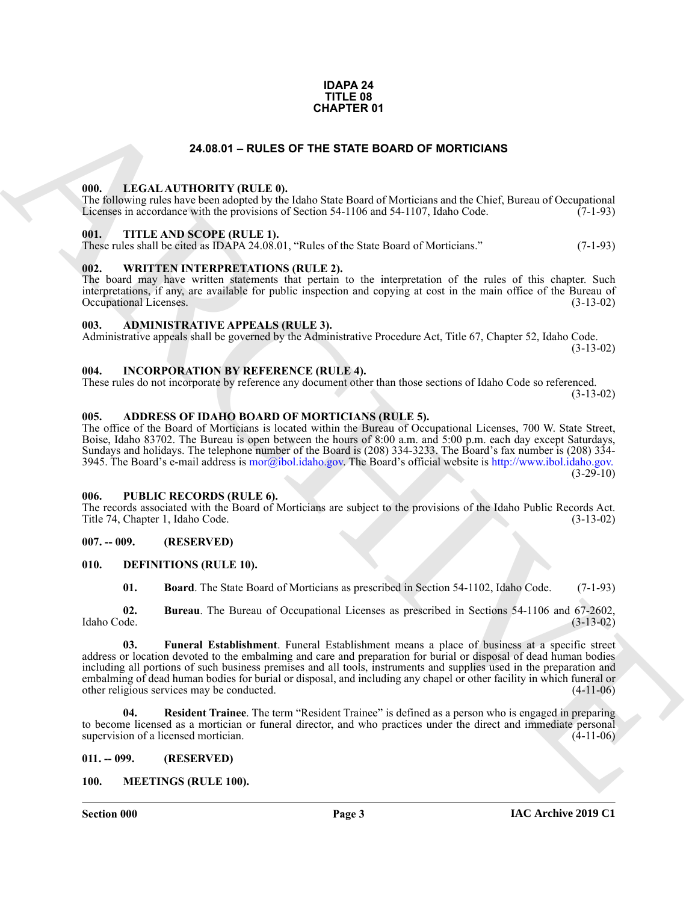#### **IDAPA 24 TITLE 08 CHAPTER 01**

#### **24.08.01 – RULES OF THE STATE BOARD OF MORTICIANS**

#### <span id="page-2-20"></span><span id="page-2-1"></span><span id="page-2-0"></span>**000. LEGAL AUTHORITY (RULE 0).**

The following rules have been adopted by the Idaho State Board of Morticians and the Chief, Bureau of Occupational Licenses in accordance with the provisions of Section 54-1106 and 54-1107, Idaho Code. (7-1-93)

#### <span id="page-2-23"></span><span id="page-2-2"></span>**001. TITLE AND SCOPE (RULE 1).**

These rules shall be cited as IDAPA 24.08.01, "Rules of the State Board of Morticians." (7-1-93)

#### <span id="page-2-24"></span><span id="page-2-3"></span>**002. WRITTEN INTERPRETATIONS (RULE 2).**

The board may have written statements that pertain to the interpretation of the rules of this chapter. Such interpretations, if any, are available for public inspection and copying at cost in the main office of the Bureau of Occupational Licenses. (3-13-02)

#### <span id="page-2-13"></span><span id="page-2-4"></span>**003. ADMINISTRATIVE APPEALS (RULE 3).**

Administrative appeals shall be governed by the Administrative Procedure Act, Title 67, Chapter 52, Idaho Code. (3-13-02)

#### <span id="page-2-19"></span><span id="page-2-5"></span>**004. INCORPORATION BY REFERENCE (RULE 4).**

These rules do not incorporate by reference any document other than those sections of Idaho Code so referenced. (3-13-02)

#### <span id="page-2-12"></span><span id="page-2-6"></span>**005. ADDRESS OF IDAHO BOARD OF MORTICIANS (RULE 5).**

The office of the Board of Morticians is located within the Bureau of Occupational Licenses, 700 W. State Street, Boise, Idaho 83702. The Bureau is open between the hours of 8:00 a.m. and 5:00 p.m. each day except Saturdays, Sundays and holidays. The telephone number of the Board is (208) 334-3233. The Board's fax number is (208) 334- 3945. The Board's e-mail address is mor@ibol.idaho.gov. The Board's official website is http://www.ibol.idaho.gov.  $(3-29-10)$ 

#### <span id="page-2-22"></span><span id="page-2-7"></span>**006. PUBLIC RECORDS (RULE 6).**

The records associated with the Board of Morticians are subject to the provisions of the Idaho Public Records Act. Title 74, Chapter 1, Idaho Code. (3-13-02)

#### <span id="page-2-8"></span>**007. -- 009. (RESERVED)**

#### <span id="page-2-9"></span>**010. DEFINITIONS (RULE 10).**

<span id="page-2-17"></span><span id="page-2-16"></span><span id="page-2-15"></span><span id="page-2-14"></span>**01. Board**. The State Board of Morticians as prescribed in Section 54-1102, Idaho Code. (7-1-93)

**02.** Bureau. The Bureau of Occupational Licenses as prescribed in Sections 54-1106 and 67-2602, Idaho Code. (3-13-02) Idaho Code. (3-13-02)

**24.03.81 [CH](mailto:mor@ibol.idaho.gov)APTER 01**<br> **ARCHIVENT (ETTER STATE BOARD OF MORTICANS**<br> **CHAPTER INTERPRETATION** (ETTER STATE BOARD OF MORTICANS<br>
THE MARCHIVENT (ETTER STATE BOARD OF MORTGEANS)<br>
THE CHAPTER INTERPRETATION (ETTER STATE BOAR **03. Funeral Establishment**. Funeral Establishment means a place of business at a specific street address or location devoted to the embalming and care and preparation for burial or disposal of dead human bodies including all portions of such business premises and all tools, instruments and supplies used in the preparation and embalming of dead human bodies for burial or disposal, and including any chapel or other facility in which funeral or other religious services may be conducted. (4-11-06)

<span id="page-2-18"></span>**04. Resident Trainee**. The term "Resident Trainee" is defined as a person who is engaged in preparing to become licensed as a mortician or funeral director, and who practices under the direct and immediate personal supervision of a licensed mortician. (4-11-06) supervision of a licensed mortician.

#### <span id="page-2-10"></span>**011. -- 099. (RESERVED)**

#### <span id="page-2-21"></span><span id="page-2-11"></span>**100. MEETINGS (RULE 100).**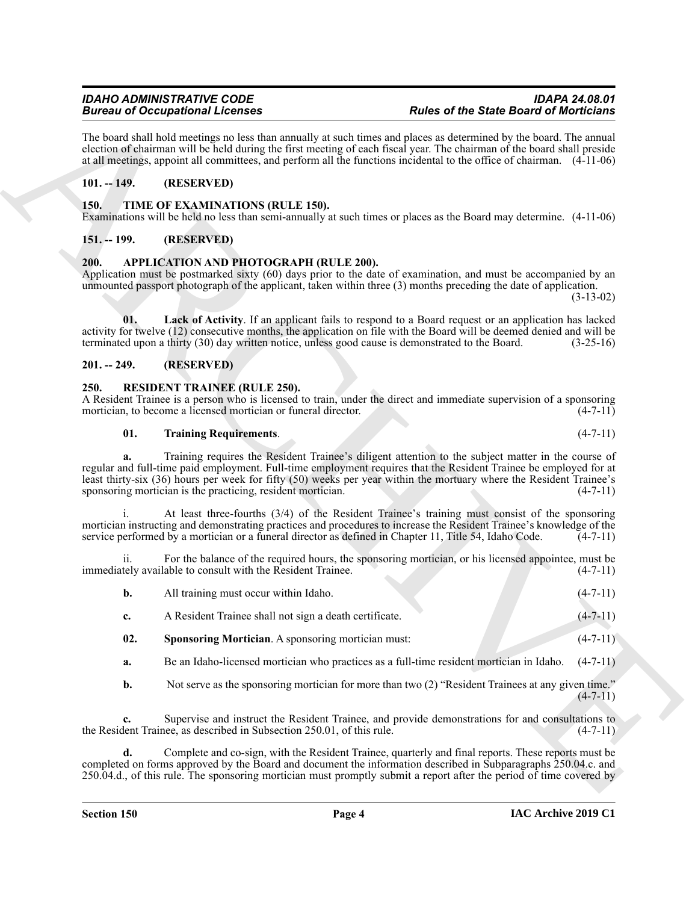## **Bureau of Occupational Licenses**

The board shall hold meetings no less than annually at such times and places as determined by the board. The annual election of chairman will be held during the first meeting of each fiscal year. The chairman of the board shall preside at all meetings, appoint all committees, and perform all the functions incidental to the office of chairman. (4-11-06)

#### <span id="page-3-0"></span>**101. -- 149. (RESERVED)**

#### <span id="page-3-11"></span><span id="page-3-1"></span>**150. TIME OF EXAMINATIONS (RULE 150).**

Examinations will be held no less than semi-annually at such times or places as the Board may determine. (4-11-06)

#### <span id="page-3-2"></span>**151. -- 199. (RESERVED)**

#### <span id="page-3-6"></span><span id="page-3-3"></span>**200. APPLICATION AND PHOTOGRAPH (RULE 200).**

Application must be postmarked sixty (60) days prior to the date of examination, and must be accompanied by an unmounted passport photograph of the applicant, taken within three (3) months preceding the date of application. (3-13-02)

<span id="page-3-7"></span>**01. Lack of Activity**. If an applicant fails to respond to a Board request or an application has lacked activity for twelve (12) consecutive months, the application on file with the Board will be deemed denied and will be terminated upon a thirty (30) day written notice, unless good cause is demonstrated to the Board. (3-25-16)

#### <span id="page-3-4"></span>**201. -- 249. (RESERVED)**

#### <span id="page-3-8"></span><span id="page-3-5"></span>**250. RESIDENT TRAINEE (RULE 250).**

A Resident Trainee is a person who is licensed to train, under the direct and immediate supervision of a sponsoring mortician, to become a licensed mortician or funeral director. (4-7-11)

#### <span id="page-3-10"></span>**01. Training Requirements**. (4-7-11)

Because of Occupation fillences<br>
The lead statistic scheme of the statistic scheme of the statistic scheme of the statistic scheme of the statistic scheme of the statistic scheme of the statistic scheme of the statistic s **a.** Training requires the Resident Trainee's diligent attention to the subject matter in the course of regular and full-time paid employment. Full-time employment requires that the Resident Trainee be employed for at least thirty-six (36) hours per week for fifty (50) weeks per year within the mortuary where the Resident Trainee's sponsoring mortician is the practicing, resident mortician. (4-7-11)

At least three-fourths (3/4) of the Resident Trainee's training must consist of the sponsoring mortician instructing and demonstrating practices and procedures to increase the Resident Trainee's knowledge of the service performed by a mortician or a funeral director as defined in Chapter 11, Title 54, Idaho Code.  $(4-7-11)$ 

ii. For the balance of the required hours, the sponsoring mortician, or his licensed appointee, must be immediately available to consult with the Resident Trainee. (4-7-11)

| All training must occur within Idaho.                  | $(4-7-11)$ |
|--------------------------------------------------------|------------|
| A Resident Trainee shall not sign a death certificate. | $(4-7-11)$ |

- <span id="page-3-9"></span>**02.** Sponsoring Mortician. A sponsoring mortician must:  $(4-7-11)$
- **a.** Be an Idaho-licensed mortician who practices as a full-time resident mortician in Idaho. (4-7-11)
- **b.** Not serve as the sponsoring mortician for more than two (2) "Resident Trainees at any given time."  $(4 - 7 - 11)$

**c.** Supervise and instruct the Resident Trainee, and provide demonstrations for and consultations to the Resident Trainee, as described in Subsection 250.01, of this rule. (4-7-11)

**d.** Complete and co-sign, with the Resident Trainee, quarterly and final reports. These reports must be completed on forms approved by the Board and document the information described in Subparagraphs 250.04.c. and 250.04.d., of this rule. The sponsoring mortician must promptly submit a report after the period of time covered by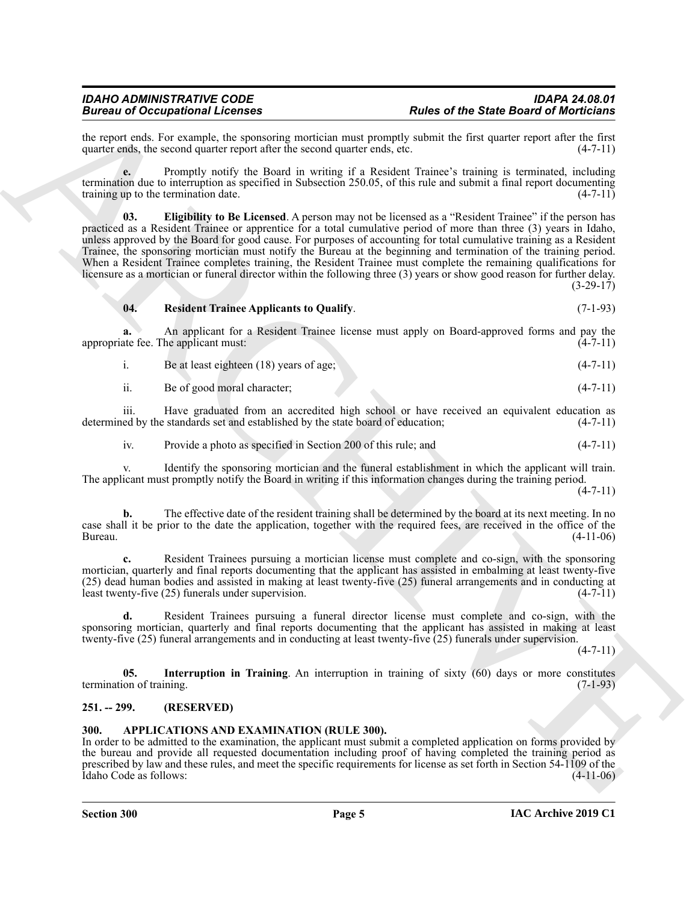the report ends. For example, the sponsoring mortician must promptly submit the first quarter report after the first quarter ends, the second quarter report after the second quarter ends, etc. (4-7-11) quarter ends, the second quarter report after the second quarter ends, etc.

<span id="page-4-3"></span>**e.** Promptly notify the Board in writing if a Resident Trainee's training is terminated, including termination due to interruption as specified in Subsection 250.05, of this rule and submit a final report documenting training up to the termination date.  $(4-7-11)$ 

Brace of Occupation of External Contents and the contents of the Grand Galachear interaction of Montendo in the Contents of the Contents of the Contents of the Contents of the Contents of the Contents of the Contents of t **03. Eligibility to Be Licensed**. A person may not be licensed as a "Resident Trainee" if the person has practiced as a Resident Trainee or apprentice for a total cumulative period of more than three (3) years in Idaho, unless approved by the Board for good cause. For purposes of accounting for total cumulative training as a Resident Trainee, the sponsoring mortician must notify the Bureau at the beginning and termination of the training period. When a Resident Trainee completes training, the Resident Trainee must complete the remaining qualifications for licensure as a mortician or funeral director within the following three (3) years or show good reason for further delay. (3-29-17)

#### <span id="page-4-5"></span>**04. Resident Trainee Applicants to Qualify**. (7-1-93)

**a.** An applicant for a Resident Trainee license must apply on Board-approved forms and pay the appropriate fee. The applicant must: (4-7-11) (4-7-11)

- i. Be at least eighteen (18) years of age; (4-7-11)
- ii. Be of good moral character; (4-7-11)

iii. Have graduated from an accredited high school or have received an equivalent education as ed by the standards set and established by the state board of education: (4-7-11) determined by the standards set and established by the state board of education;

iv. Provide a photo as specified in Section 200 of this rule; and (4-7-11)

v. Identify the sponsoring mortician and the funeral establishment in which the applicant will train. The applicant must promptly notify the Board in writing if this information changes during the training period.

 $(4 - 7 - 11)$ 

**b.** The effective date of the resident training shall be determined by the board at its next meeting. In no case shall it be prior to the date the application, together with the required fees, are received in the office of the Bureau. (4-11-06)

**c.** Resident Trainees pursuing a mortician license must complete and co-sign, with the sponsoring mortician, quarterly and final reports documenting that the applicant has assisted in embalming at least twenty-five (25) dead human bodies and assisted in making at least twenty-five (25) funeral arrangements and in conducting at least twenty-five (25) funerals under supervision. (4-7-11)

**d.** Resident Trainees pursuing a funeral director license must complete and co-sign, with the sponsoring mortician, quarterly and final reports documenting that the applicant has assisted in making at least twenty-five (25) funeral arrangements and in conducting at least twenty-five (25) funerals under supervision.

 $(4 - 7 - 11)$ 

<span id="page-4-4"></span>**05. Interruption in Training**. An interruption in training of sixty (60) days or more constitutes termination of training. (7-1-93)

#### <span id="page-4-0"></span>**251. -- 299. (RESERVED)**

#### <span id="page-4-2"></span><span id="page-4-1"></span>**300. APPLICATIONS AND EXAMINATION (RULE 300).**

In order to be admitted to the examination, the applicant must submit a completed application on forms provided by the bureau and provide all requested documentation including proof of having completed the training period as prescribed by law and these rules, and meet the specific requirements for license as set forth in Section 54-1109 of the  $\text{Idaho Code as follows:}$  (4-11-06)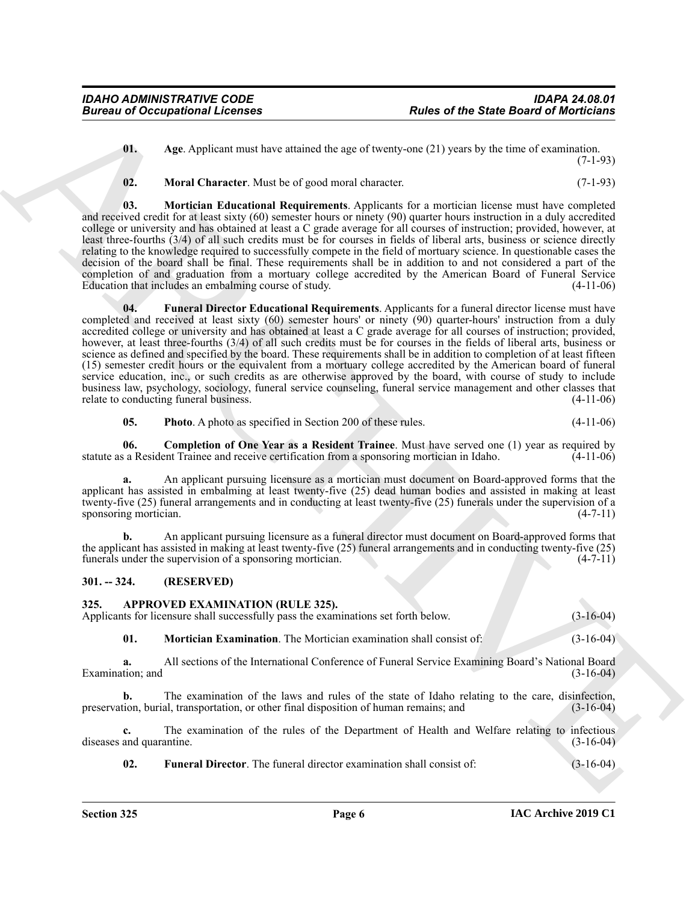<span id="page-5-2"></span>**01. Age**. Applicant must have attained the age of twenty-one (21) years by the time of examination. (7-1-93)

<span id="page-5-6"></span><span id="page-5-5"></span><span id="page-5-4"></span>**02. Moral Character**. Must be of good moral character. (7-1-93)

**03. Mortician Educational Requirements**. Applicants for a mortician license must have completed and received credit for at least sixty (60) semester hours or ninety (90) quarter hours instruction in a duly accredited college or university and has obtained at least a C grade average for all courses of instruction; provided, however, at least three-fourths (3/4) of all such credits must be for courses in fields of liberal arts, business or science directly relating to the knowledge required to successfully compete in the field of mortuary science. In questionable cases the decision of the board shall be final. These requirements shall be in addition to and not considered a part of the completion of and graduation from a mortuary college accredited by the American Board of Funeral Service Education that includes an embalming course of study. (4-11-06)

Forces of Occupations I. feveral stress of  $\sim$  APC Applications and the Solic Board of Modelinka,<br>
0. Appl. Appl. Appl. Appl. and the stress of  $\sim$  APC and the stress of  $\sim$  APC and the stress of  $\sim$  APC and the stres **04. Funeral Director Educational Requirements**. Applicants for a funeral director license must have completed and received at least sixty (60) semester hours' or ninety (90) quarter-hours' instruction from a duly accredited college or university and has obtained at least a C grade average for all courses of instruction; provided, however, at least three-fourths (3/4) of all such credits must be for courses in the fields of liberal arts, business or science as defined and specified by the board. These requirements shall be in addition to completion of at least fifteen (15) semester credit hours or the equivalent from a mortuary college accredited by the American board of funeral service education, inc., or such credits as are otherwise approved by the board, with course of study to include business law, psychology, sociology, funeral service counseling, funeral service management and other classes that relate to conducting funeral business. (4-11-06)

<span id="page-5-7"></span><span id="page-5-3"></span>**05. Photo**. A photo as specified in Section 200 of these rules. (4-11-06)

**06. Completion of One Year as a Resident Trainee**. Must have served one (1) year as required by statute as a Resident Trainee and receive certification from a sponsoring mortician in Idaho.

**a.** An applicant pursuing licensure as a mortician must document on Board-approved forms that the applicant has assisted in embalming at least twenty-five (25) dead human bodies and assisted in making at least twenty-five (25) funeral arrangements and in conducting at least twenty-five (25) funerals under the supervision of a sponsoring mortician. (4-7-11)

**b.** An applicant pursuing licensure as a funeral director must document on Board-approved forms that the applicant has assisted in making at least twenty-five (25) funeral arrangements and in conducting twenty-five (25) funerals under the supervision of a sponsoring mortician. (4-7-11)

#### <span id="page-5-0"></span>**301. -- 324. (RESERVED)**

#### <span id="page-5-8"></span><span id="page-5-1"></span>**325. APPROVED EXAMINATION (RULE 325).**

Applicants for licensure shall successfully pass the examinations set forth below.  $(3-16-04)$ 

<span id="page-5-10"></span>**01. Mortician Examination**. The Mortician examination shall consist of: (3-16-04)

**a.** All sections of the International Conference of Funeral Service Examining Board's National Board Examination; and (3-16-04) (3-16-04)

**b.** The examination of the laws and rules of the state of Idaho relating to the care, disinfection, preservation, burial, transportation, or other final disposition of human remains; and (3-16-04)

**c.** The examination of the rules of the Department of Health and Welfare relating to infectious diseases and quarantine. (3-16-04)

<span id="page-5-9"></span>**02. Funeral Director**. The funeral director examination shall consist of: (3-16-04)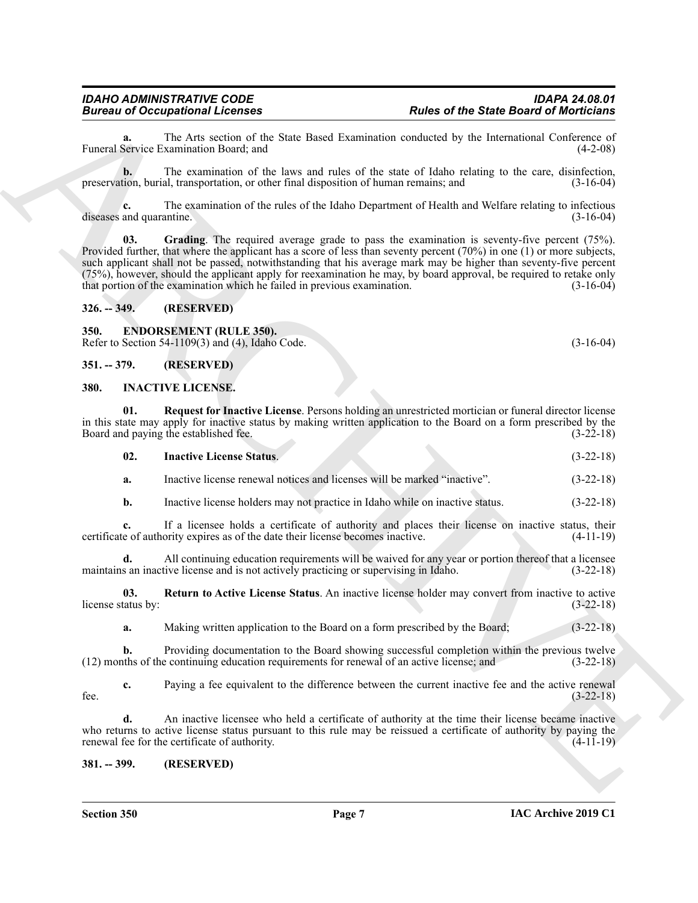**a.** The Arts section of the State Based Examination conducted by the International Conference of Service Examination Board; and (4-2-08) Funeral Service Examination Board; and

**b.** The examination of the laws and rules of the state of Idaho relating to the care, disinfection, preservation, burial, transportation, or other final disposition of human remains; and (3-16-04)

<span id="page-6-5"></span>**c.** The examination of the rules of the Idaho Department of Health and Welfare relating to infectious diseases and quarantine. (3-16-04)

Forces and Service Extent and the Service Control Extension of the Service Control Mexicon Extent and the Service Control Mexicon Extent and the service Control Mexicon Extend Service Control Mexicon Extend and the servic **03. Grading**. The required average grade to pass the examination is seventy-five percent (75%). Provided further, that where the applicant has a score of less than seventy percent (70%) in one (1) or more subjects, such applicant shall not be passed, notwithstanding that his average mark may be higher than seventy-five percent (75%), however, should the applicant apply for reexamination he may, by board approval, be required to retake only that portion of the examination which he failed in previous examination. (3-16-04)

#### <span id="page-6-0"></span>**326. -- 349. (RESERVED)**

<span id="page-6-6"></span><span id="page-6-1"></span>**350. ENDORSEMENT (RULE 350).** Refer to Section 54-1109(3) and (4), Idaho Code. (3-16-04)

<span id="page-6-2"></span>**351. -- 379. (RESERVED)**

#### <span id="page-6-7"></span><span id="page-6-3"></span>**380. INACTIVE LICENSE.**

**01. Request for Inactive License**. Persons holding an unrestricted mortician or funeral director license in this state may apply for inactive status by making written application to the Board on a form prescribed by the Board and paying the established fee. (3-22-18)

<span id="page-6-9"></span><span id="page-6-8"></span>

| 02. | <b>Inactive License Status.</b>                                          | $(3-22-18)$ |
|-----|--------------------------------------------------------------------------|-------------|
|     | Inactive license renewal notices and licenses will be marked "inactive". | $(3-22-18)$ |

**b.** Inactive license holders may not practice in Idaho while on inactive status.  $(3-22-18)$ 

**c.** If a licensee holds a certificate of authority and places their license on inactive status, their certificate of authority expires as of the date their license becomes inactive. (4-11-19)

**d.** All continuing education requirements will be waived for any year or portion thereof that a licensee maintains an inactive license and is not actively practicing or supervising in Idaho. (3-22-18)

**03. Return to Active License Status**. An inactive license holder may convert from inactive to active license status by: (3-22-18)

<span id="page-6-10"></span>**a.** Making written application to the Board on a form prescribed by the Board;  $(3-22-18)$ 

**b.** Providing documentation to the Board showing successful completion within the previous twelve (12) months of the continuing education requirements for renewal of an active license; and (3-22-18)

**c.** Paying a fee equivalent to the difference between the current inactive fee and the active renewal (3-22-18) fee.  $(3-22-18)$ 

**d.** An inactive licensee who held a certificate of authority at the time their license became inactive who returns to active license status pursuant to this rule may be reissued a certificate of authority by paying the renewal fee for the certificate of authority. (4-11-19)

#### <span id="page-6-4"></span>**381. -- 399. (RESERVED)**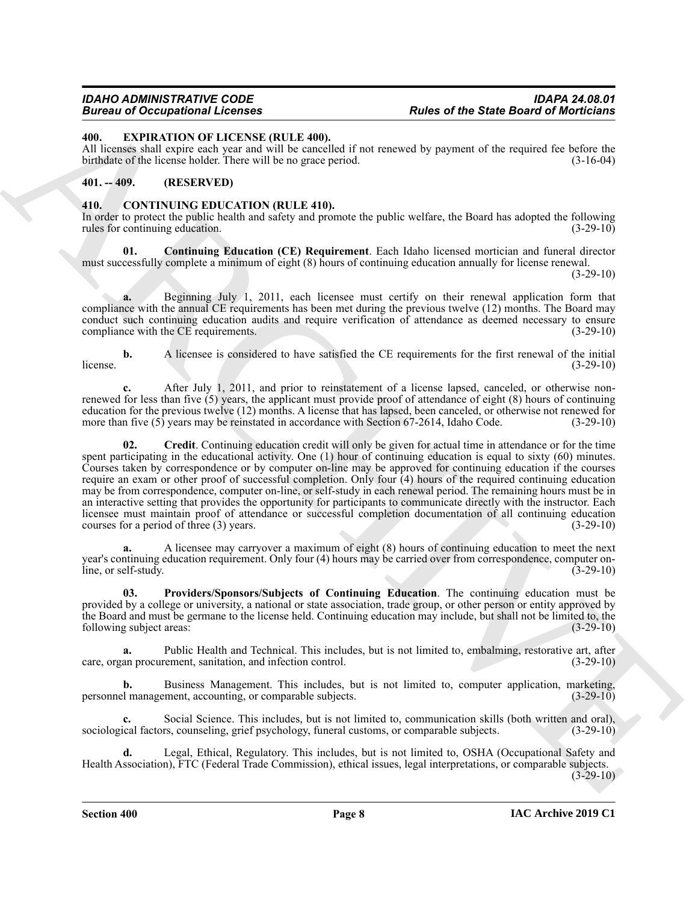#### <span id="page-7-7"></span><span id="page-7-0"></span>**400. EXPIRATION OF LICENSE (RULE 400).**

All licenses shall expire each year and will be cancelled if not renewed by payment of the required fee before the birthdate of the license holder. There will be no grace period. (3-16-04)

#### <span id="page-7-1"></span>**401. -- 409. (RESERVED)**

#### <span id="page-7-3"></span><span id="page-7-2"></span>**410. CONTINUING EDUCATION (RULE 410).**

In order to protect the public health and safety and promote the public welfare, the Board has adopted the following rules for continuing education. (3-29-10)

<span id="page-7-4"></span>**01. Continuing Education (CE) Requirement**. Each Idaho licensed mortician and funeral director must successfully complete a minimum of eight (8) hours of continuing education annually for license renewal.

(3-29-10)

**a.** Beginning July 1, 2011, each licensee must certify on their renewal application form that compliance with the annual CE requirements has been met during the previous twelve (12) months. The Board may conduct such continuing education audits and require verification of attendance as deemed necessary to ensure compliance with the CE requirements. (3-29-10)

**b.** A licensee is considered to have satisfied the CE requirements for the first renewal of the initial  $l$ icense. (3-29-10)

<span id="page-7-5"></span>**c.** After July 1, 2011, and prior to reinstatement of a license lapsed, canceled, or otherwise nonrenewed for less than five (5) years, the applicant must provide proof of attendance of eight (8) hours of continuing education for the previous twelve (12) months. A license that has lapsed, been canceled, or otherwise not renewed for more than five (5) years may be reinstated in accordance with Section 67-2614. Idaho Code. (3-29-10) more than five  $(5)$  years may be reinstated in accordance with Section 67-2614, Idaho Code.

Forces of Companies Control Control in the set of the State Control Medicine<br>
ARCHIVENTION OF LICENSE IRELATION (RELECTION INTERNATION INTERNATION CONTROL INTERNATION (SECTION 1997)<br>
ARCHIVENTION CONTROL INTERNATION (RELE **02. Credit**. Continuing education credit will only be given for actual time in attendance or for the time spent participating in the educational activity. One (1) hour of continuing education is equal to sixty (60) minutes. Courses taken by correspondence or by computer on-line may be approved for continuing education if the courses require an exam or other proof of successful completion. Only four (4) hours of the required continuing education may be from correspondence, computer on-line, or self-study in each renewal period. The remaining hours must be in an interactive setting that provides the opportunity for participants to communicate directly with the instructor. Each licensee must maintain proof of attendance or successful completion documentation of all continuing education courses for a period of three (3) years. courses for a period of three  $(3)$  years.

**a.** A licensee may carryover a maximum of eight (8) hours of continuing education to meet the next year's continuing education requirement. Only four (4) hours may be carried over from correspondence, computer online, or self-study. (3-29-10)

<span id="page-7-6"></span>**03. Providers/Sponsors/Subjects of Continuing Education**. The continuing education must be provided by a college or university, a national or state association, trade group, or other person or entity approved by the Board and must be germane to the license held. Continuing education may include, but shall not be limited to, the following subject areas: (3-29-10) (3-29-10)

**a.** Public Health and Technical. This includes, but is not limited to, embalming, restorative art, after care, organ procurement, sanitation, and infection control. (3-29-10)

**b.** Business Management. This includes, but is not limited to, computer application, marketing, l' management, accounting, or comparable subjects. (3-29-10) personnel management, accounting, or comparable subjects.

Social Science. This includes, but is not limited to, communication skills (both written and oral), sociological factors, counseling, grief psychology, funeral customs, or comparable subjects. (3-29-10)

**d.** Legal, Ethical, Regulatory. This includes, but is not limited to, OSHA (Occupational Safety and Health Association), FTC (Federal Trade Commission), ethical issues, legal interpretations, or comparable subjects.

 $(3-29-10)$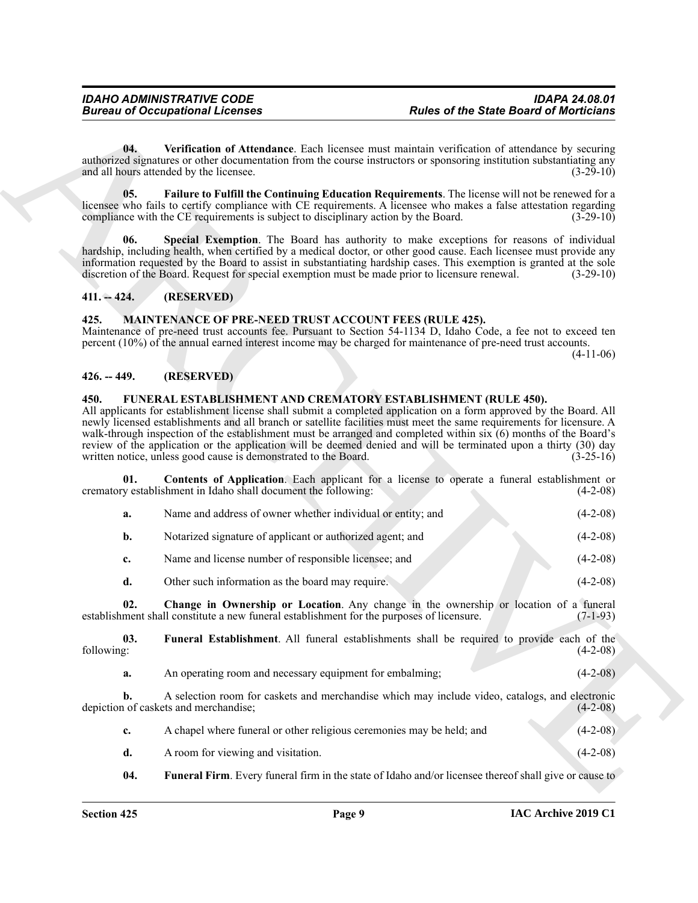#### <span id="page-8-5"></span><span id="page-8-4"></span><span id="page-8-0"></span>**411. -- 424. (RESERVED)**

#### <span id="page-8-12"></span><span id="page-8-1"></span>**425. MAINTENANCE OF PRE-NEED TRUST ACCOUNT FEES (RULE 425).**

#### <span id="page-8-2"></span>**426. -- 449. (RESERVED)**

#### <span id="page-8-11"></span><span id="page-8-10"></span><span id="page-8-9"></span><span id="page-8-8"></span><span id="page-8-7"></span><span id="page-8-3"></span>**450. FUNERAL ESTABLISHMENT AND CREMATORY ESTABLISHMENT (RULE 450).**

<span id="page-8-6"></span>

|                                                                                                                                                                                                                                                                                                                                                       | <b>Bureau of Occupational Licenses</b>                                                                                                                                                                                                                                                                                                                                                                                                  | <b>Rules of the State Board of Morticians</b>                                                                    |             |
|-------------------------------------------------------------------------------------------------------------------------------------------------------------------------------------------------------------------------------------------------------------------------------------------------------------------------------------------------------|-----------------------------------------------------------------------------------------------------------------------------------------------------------------------------------------------------------------------------------------------------------------------------------------------------------------------------------------------------------------------------------------------------------------------------------------|------------------------------------------------------------------------------------------------------------------|-------------|
| 04.                                                                                                                                                                                                                                                                                                                                                   | authorized signatures or other documentation from the course instructors or sponsoring institution substantiating any<br>and all hours attended by the licensee.                                                                                                                                                                                                                                                                        | Verification of Attendance. Each licensee must maintain verification of attendance by securing                   | $(3-29-10)$ |
| 05.<br>licensee who fails to certify compliance with CE requirements. A licensee who makes a false attestation regarding<br>compliance with the CE requirements is subject to disciplinary action by the Board.                                                                                                                                       |                                                                                                                                                                                                                                                                                                                                                                                                                                         | Failure to Fulfill the Continuing Education Requirements. The license will not be renewed for a                  | $(3-29-10)$ |
| 06.<br>hardship, including health, when certified by a medical doctor, or other good cause. Each licensee must provide any<br>information requested by the Board to assist in substantiating hardship cases. This exemption is granted at the sole<br>discretion of the Board. Request for special exemption must be made prior to licensure renewal. |                                                                                                                                                                                                                                                                                                                                                                                                                                         | Special Exemption. The Board has authority to make exceptions for reasons of individual                          | $(3-29-10)$ |
| $411. - 424.$                                                                                                                                                                                                                                                                                                                                         | (RESERVED)                                                                                                                                                                                                                                                                                                                                                                                                                              |                                                                                                                  |             |
| 425.                                                                                                                                                                                                                                                                                                                                                  | <b>MAINTENANCE OF PRE-NEED TRUST ACCOUNT FEES (RULE 425).</b><br>Maintenance of pre-need trust accounts fee. Pursuant to Section 54-1134 D, Idaho Code, a fee not to exceed ten<br>percent (10%) of the annual earned interest income may be charged for maintenance of pre-need trust accounts.                                                                                                                                        |                                                                                                                  | $(4-11-06)$ |
| $426. - 449.$                                                                                                                                                                                                                                                                                                                                         | (RESERVED)                                                                                                                                                                                                                                                                                                                                                                                                                              |                                                                                                                  |             |
| 450.                                                                                                                                                                                                                                                                                                                                                  | <b>FUNERAL ESTABLISHMENT AND CREMATORY ESTABLISHMENT (RULE 450).</b><br>All applicants for establishment license shall submit a completed application on a form approved by the Board. All<br>newly licensed establishments and all branch or satellite facilities must meet the same requirements for licensure. A<br>walk-through inspection of the establishment must be arranged and completed within six (6) months of the Board's |                                                                                                                  |             |
|                                                                                                                                                                                                                                                                                                                                                       | written notice, unless good cause is demonstrated to the Board.                                                                                                                                                                                                                                                                                                                                                                         | review of the application or the application will be deemed denied and will be terminated upon a thirty (30) day | $(3-25-16)$ |
| 01.                                                                                                                                                                                                                                                                                                                                                   | crematory establishment in Idaho shall document the following:                                                                                                                                                                                                                                                                                                                                                                          | <b>Contents of Application.</b> Each applicant for a license to operate a funeral establishment or               | $(4-2-08)$  |
| a.                                                                                                                                                                                                                                                                                                                                                    | Name and address of owner whether individual or entity; and                                                                                                                                                                                                                                                                                                                                                                             |                                                                                                                  | $(4-2-08)$  |
| $\mathbf{b}$ .                                                                                                                                                                                                                                                                                                                                        | Notarized signature of applicant or authorized agent; and                                                                                                                                                                                                                                                                                                                                                                               |                                                                                                                  | $(4-2-08)$  |
| c.                                                                                                                                                                                                                                                                                                                                                    | Name and license number of responsible licensee; and                                                                                                                                                                                                                                                                                                                                                                                    |                                                                                                                  | $(4-2-08)$  |
| d.                                                                                                                                                                                                                                                                                                                                                    | Other such information as the board may require.                                                                                                                                                                                                                                                                                                                                                                                        |                                                                                                                  | $(4-2-08)$  |
| 02.                                                                                                                                                                                                                                                                                                                                                   | establishment shall constitute a new funeral establishment for the purposes of licensure.                                                                                                                                                                                                                                                                                                                                               | Change in Ownership or Location. Any change in the ownership or location of a funeral                            | $(7-1-93)$  |
| 03.<br>following:                                                                                                                                                                                                                                                                                                                                     |                                                                                                                                                                                                                                                                                                                                                                                                                                         | Funeral Establishment. All funeral establishments shall be required to provide each of the                       | $(4-2-08)$  |
| a.                                                                                                                                                                                                                                                                                                                                                    | An operating room and necessary equipment for embalming;                                                                                                                                                                                                                                                                                                                                                                                |                                                                                                                  | $(4-2-08)$  |
| b.                                                                                                                                                                                                                                                                                                                                                    | depiction of caskets and merchandise;                                                                                                                                                                                                                                                                                                                                                                                                   | A selection room for caskets and merchandise which may include video, catalogs, and electronic                   | $(4-2-08)$  |
| c.                                                                                                                                                                                                                                                                                                                                                    | A chapel where funeral or other religious ceremonies may be held; and                                                                                                                                                                                                                                                                                                                                                                   |                                                                                                                  | $(4-2-08)$  |
| d.                                                                                                                                                                                                                                                                                                                                                    | A room for viewing and visitation.                                                                                                                                                                                                                                                                                                                                                                                                      |                                                                                                                  | $(4-2-08)$  |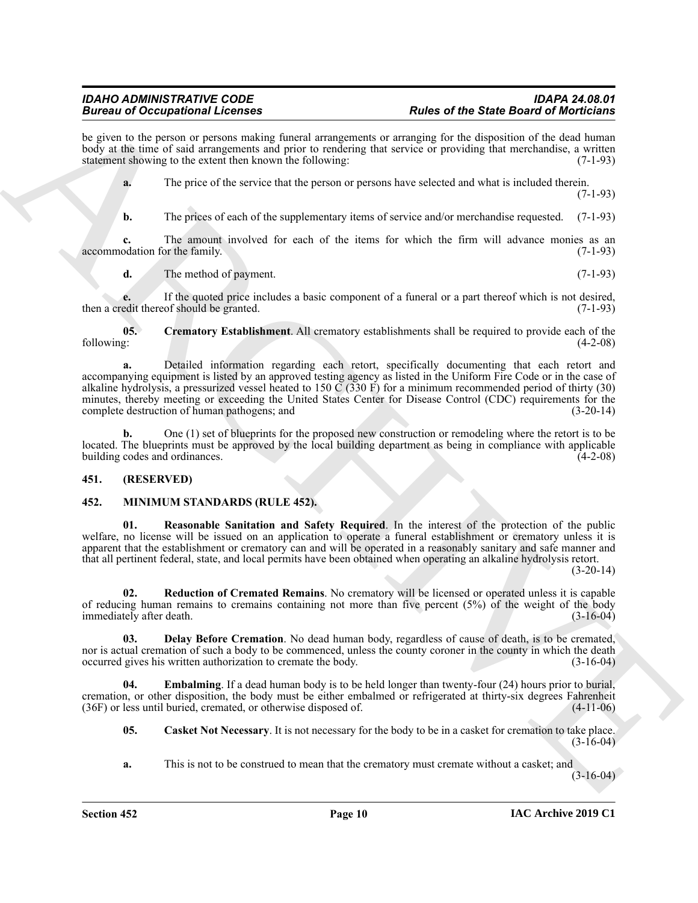be given to the person or persons making funeral arrangements or arranging for the disposition of the dead human body at the time of said arrangements and prior to rendering that service or providing that merchandise, a written statement showing to the extent then known the following: (7-1-93)

**a.** The price of the service that the person or persons have selected and what is included therein.

(7-1-93)

**b.** The prices of each of the supplementary items of service and/or merchandise requested. (7-1-93)

**c.** The amount involved for each of the items for which the firm will advance monies as an odation for the family. (7-1-93) accommodation for the family.

<span id="page-9-2"></span>**d.** The method of payment. (7-1-93)

**e.** If the quoted price includes a basic component of a funeral or a part thereof which is not desired, edit thereof should be granted. (7-1-93) then a credit thereof should be granted.

**05. Crematory Establishment**. All crematory establishments shall be required to provide each of the following: (4-2-08)

**Example of Contraines Schemes**<br> **Example of Contraines Schemes and the state of the Schemes and Windich Schemes and Windich Schemes and Windich Schemes and the state of the state of the state of the state of the state of a.** Detailed information regarding each retort, specifically documenting that each retort and accompanying equipment is listed by an approved testing agency as listed in the Uniform Fire Code or in the case of alkaline hydrolysis, a pressurized vessel heated to 150  $\tilde{C}$  (330 F) for a minimum recommended period of thirty (30) minutes, thereby meeting or exceeding the United States Center for Disease Control (CDC) requirements for the complete destruction of human pathogens; and (3-20-14) complete destruction of human pathogens; and

**b.** One (1) set of blueprints for the proposed new construction or remodeling where the retort is to be located. The blueprints must be approved by the local building department as being in compliance with applicable building codes and ordinances. (4-2-08)

#### <span id="page-9-0"></span>**451. (RESERVED)**

#### <span id="page-9-3"></span><span id="page-9-1"></span>**452. MINIMUM STANDARDS (RULE 452).**

<span id="page-9-7"></span>**01. Reasonable Sanitation and Safety Required**. In the interest of the protection of the public welfare, no license will be issued on an application to operate a funeral establishment or crematory unless it is apparent that the establishment or crematory can and will be operated in a reasonably sanitary and safe manner and that all pertinent federal, state, and local permits have been obtained when operating an alkaline hydrolysis retort.

(3-20-14)

<span id="page-9-8"></span>**02. Reduction of Cremated Remains**. No crematory will be licensed or operated unless it is capable of reducing human remains to cremains containing not more than five percent (5%) of the weight of the body immediately after death. (3-16-04)

<span id="page-9-5"></span>**03. Delay Before Cremation**. No dead human body, regardless of cause of death, is to be cremated, nor is actual cremation of such a body to be commenced, unless the county coroner in the county in which the death occurred gives his written authorization to cremate the body. (3-16-04)

**04. Embalming**. If a dead human body is to be held longer than twenty-four (24) hours prior to burial, cremation, or other disposition, the body must be either embalmed or refrigerated at thirty-six degrees Fahrenheit (36F) or less until buried, cremated, or otherwise disposed of. (4-11-06)

<span id="page-9-6"></span><span id="page-9-4"></span>**05. Casket Not Necessary**. It is not necessary for the body to be in a casket for cremation to take place.  $(3-16-04)$ 

**a.** This is not to be construed to mean that the crematory must cremate without a casket; and

 $(3-16-04)$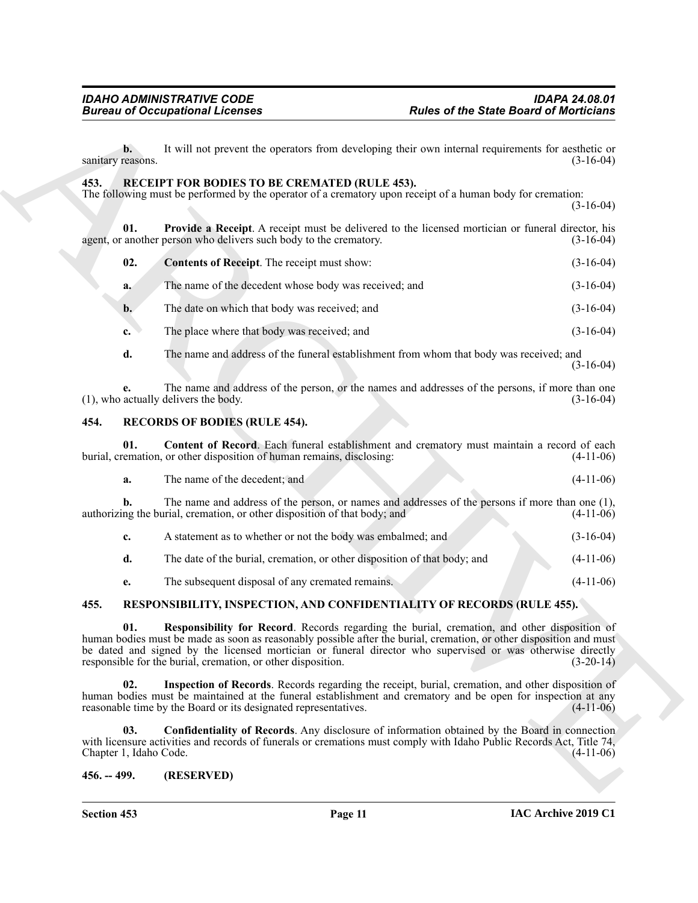#### <span id="page-10-6"></span><span id="page-10-5"></span><span id="page-10-4"></span><span id="page-10-0"></span>**453. RECEIPT FOR BODIES TO BE CREMATED (RULE 453).**

|                                     | <b>Bureau of Occupational Licenses</b>                                                                                                                                                                                                                                                                                                                                                            | <b>Rules of the State Board of Morticians</b> |             |
|-------------------------------------|---------------------------------------------------------------------------------------------------------------------------------------------------------------------------------------------------------------------------------------------------------------------------------------------------------------------------------------------------------------------------------------------------|-----------------------------------------------|-------------|
| $\mathbf{b}$ .<br>sanitary reasons. | It will not prevent the operators from developing their own internal requirements for aesthetic or                                                                                                                                                                                                                                                                                                |                                               | $(3-16-04)$ |
| 453.                                | RECEIPT FOR BODIES TO BE CREMATED (RULE 453).<br>The following must be performed by the operator of a crematory upon receipt of a human body for cremation:                                                                                                                                                                                                                                       |                                               | $(3-16-04)$ |
| 01.                                 | Provide a Receipt. A receipt must be delivered to the licensed mortician or funeral director, his<br>agent, or another person who delivers such body to the crematory.                                                                                                                                                                                                                            |                                               | $(3-16-04)$ |
| 02.                                 | Contents of Receipt. The receipt must show:                                                                                                                                                                                                                                                                                                                                                       |                                               | $(3-16-04)$ |
| a.                                  | The name of the decedent whose body was received; and                                                                                                                                                                                                                                                                                                                                             |                                               | $(3-16-04)$ |
| b.                                  | The date on which that body was received; and                                                                                                                                                                                                                                                                                                                                                     |                                               | $(3-16-04)$ |
| c.                                  | The place where that body was received; and                                                                                                                                                                                                                                                                                                                                                       |                                               | $(3-16-04)$ |
| d.                                  | The name and address of the funeral establishment from whom that body was received; and                                                                                                                                                                                                                                                                                                           |                                               | $(3-16-04)$ |
| е.                                  | The name and address of the person, or the names and addresses of the persons, if more than one<br>(1), who actually delivers the body.                                                                                                                                                                                                                                                           |                                               | $(3-16-04)$ |
| 454.                                | <b>RECORDS OF BODIES (RULE 454).</b>                                                                                                                                                                                                                                                                                                                                                              |                                               |             |
| 01.                                 | Content of Record. Each funeral establishment and crematory must maintain a record of each<br>burial, cremation, or other disposition of human remains, disclosing:                                                                                                                                                                                                                               |                                               | $(4-11-06)$ |
| a.                                  | The name of the decedent; and                                                                                                                                                                                                                                                                                                                                                                     |                                               | $(4-11-06)$ |
| b.                                  | The name and address of the person, or names and addresses of the persons if more than one (1),<br>authorizing the burial, cremation, or other disposition of that body; and                                                                                                                                                                                                                      |                                               | $(4-11-06)$ |
| c.                                  | A statement as to whether or not the body was embalmed; and                                                                                                                                                                                                                                                                                                                                       |                                               | $(3-16-04)$ |
| d.                                  | The date of the burial, cremation, or other disposition of that body; and                                                                                                                                                                                                                                                                                                                         |                                               | $(4-11-06)$ |
| e.                                  | The subsequent disposal of any cremated remains.                                                                                                                                                                                                                                                                                                                                                  |                                               | $(4-11-06)$ |
| 455.                                | RESPONSIBILITY, INSPECTION, AND CONFIDENTIALITY OF RECORDS (RULE 455).                                                                                                                                                                                                                                                                                                                            |                                               |             |
| 01.                                 | Responsibility for Record. Records regarding the burial, cremation, and other disposition of<br>human bodies must be made as soon as reasonably possible after the burial, cremation, or other disposition and must<br>be dated and signed by the licensed mortician or funeral director who supervised or was otherwise directly<br>responsible for the burial, cremation, or other disposition. |                                               | $(3-20-14)$ |
| 02.                                 | Inspection of Records. Records regarding the receipt, burial, cremation, and other disposition of<br>human bodies must be maintained at the funeral establishment and crematory and be open for inspection at any<br>reasonable time by the Board or its designated representatives.                                                                                                              |                                               | $(4-11-06)$ |
| 03.<br>Chapter 1, Idaho Code.       | Confidentiality of Records. Any disclosure of information obtained by the Board in connection<br>with licensure activities and records of funerals or cremations must comply with Idaho Public Records Act, Title 74,                                                                                                                                                                             |                                               | $(4-11-06)$ |
| $456. - 499.$                       | (RESERVED)                                                                                                                                                                                                                                                                                                                                                                                        |                                               |             |

#### <span id="page-10-8"></span><span id="page-10-7"></span><span id="page-10-1"></span>**454. RECORDS OF BODIES (RULE 454).**

| а. | The name of the decedent: and                                                                                                                                                | $(4-11-06)$ |
|----|------------------------------------------------------------------------------------------------------------------------------------------------------------------------------|-------------|
|    | The name and address of the person, or names and addresses of the persons if more than one (1),<br>authorizing the burial, cremation, or other disposition of that body; and | $(4-11-06)$ |

| A statement as to whether or not the body was embalmed; and               | $(3-16-04)$ |
|---------------------------------------------------------------------------|-------------|
| The date of the burial, cremation, or other disposition of that body; and | $(4-11-06)$ |

#### <span id="page-10-12"></span><span id="page-10-11"></span><span id="page-10-9"></span><span id="page-10-2"></span>**455. RESPONSIBILITY, INSPECTION, AND CONFIDENTIALITY OF RECORDS (RULE 455).**

#### <span id="page-10-10"></span><span id="page-10-3"></span>**456. -- 499. (RESERVED)**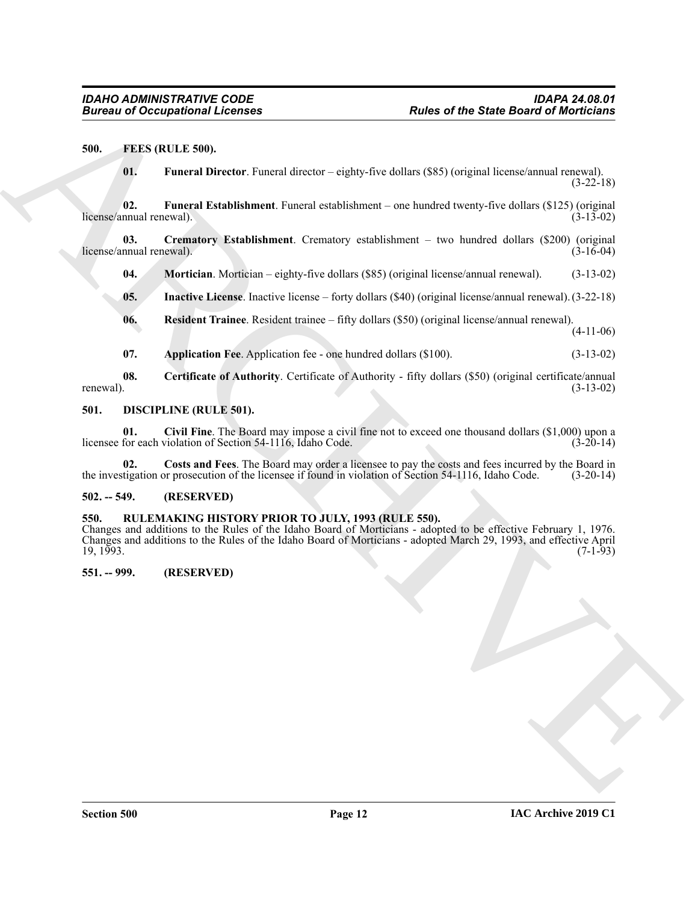#### <span id="page-11-0"></span>**500. FEES (RULE 500).**

<span id="page-11-13"></span><span id="page-11-12"></span><span id="page-11-8"></span>**01. Funeral Director**. Funeral director – eighty-five dollars (\$85) (original license/annual renewal).  $(3-22-18)$ 

**02. Funeral Establishment**. Funeral establishment – one hundred twenty-five dollars (\$125) (original license/annual renewal).

**03. Crematory Establishment**. Crematory establishment – two hundred dollars (\$200) (original license/annual renewal). (3-16-04)

<span id="page-11-15"></span><span id="page-11-11"></span>**04. Mortician**. Mortician – eighty-five dollars (\$85) (original license/annual renewal). (3-13-02)

<span id="page-11-14"></span>**05. Inactive License**. Inactive license – forty dollars (\$40) (original license/annual renewal). (3-22-18)

- <span id="page-11-16"></span>**06. Resident Trainee**. Resident trainee – fifty dollars (\$50) (original license/annual renewal). (4-11-06)
- <span id="page-11-10"></span><span id="page-11-9"></span><span id="page-11-6"></span>**07. Application Fee**. Application fee - one hundred dollars (\$100). (3-13-02)

**08.** Certificate of Authority. Certificate of Authority - fifty dollars (\$50) (original certificate/annual renewal).  $(3-13-02)$ renewal).  $(3-13-02)$ 

#### <span id="page-11-5"></span><span id="page-11-1"></span>**501. DISCIPLINE (RULE 501).**

**01. Civil Fine**. The Board may impose a civil fine not to exceed one thousand dollars (\$1,000) upon a licensee for each violation of Section 54-1116, Idaho Code.

<span id="page-11-7"></span>**02. Costs and Fees**. The Board may order a licensee to pay the costs and fees incurred by the Board in the investigation or prosecution of the licensee if found in violation of Section 54-1116, Idaho Code. (3-20-14)

#### <span id="page-11-2"></span>**502. -- 549. (RESERVED)**

#### <span id="page-11-3"></span>**550. RULEMAKING HISTORY PRIOR TO JULY, 1993 (RULE 550).**

Bureau of Occupational Licenses<br>
SUL 1990 (ML 1990) (Northern Paris) and director  $-\exp(\lambda x)$  and the USE (regional linear and regional linear and the USE (RES FIG. 2013)<br>
1991 - Tunneral Estatisticane License emblement. Con Changes and additions to the Rules of the Idaho Board of Morticians - adopted to be effective February 1, 1976. Changes and additions to the Rules of the Idaho Board of Morticians - adopted March 29, 1993, and effective April  $19, 1993.$  (7-1-93)

#### <span id="page-11-4"></span>**551. -- 999. (RESERVED)**